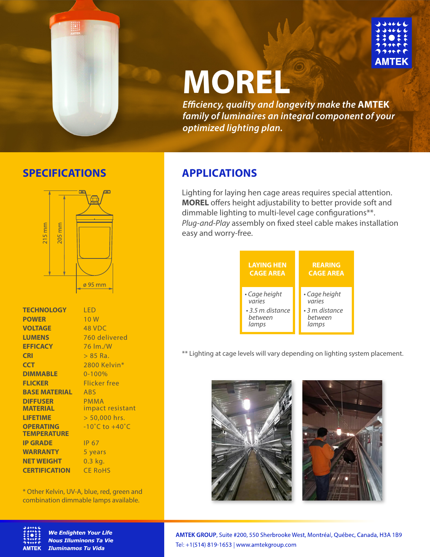

# **MOREL**

*Eciency, quality and longevity make the* **AMTEK** *family of luminaires an integral component of your optimized lighting plan.*

## **SPECIFICATIONS APPLICATIONS**



| LED                                |
|------------------------------------|
| 10 W                               |
| 48 VDC                             |
| 760 delivered                      |
| 76 lm./W                           |
| $> 85$ Ra.                         |
| 2800 Kelvin*                       |
| $0 - 100%$                         |
| Flicker free                       |
| <b>ABS</b>                         |
| <b>PMMA</b>                        |
| impact resistant                   |
| $> 50,000$ hrs.                    |
| $-10^{\circ}$ C to $+40^{\circ}$ C |
|                                    |
| IP 67                              |
| 5 years                            |
| $0.3$ kg.                          |
| <b>CE RoHS</b>                     |
|                                    |

\* Other Kelvin, UV-A, blue, red, green and combination dimmable lamps available.



**We Enlighten Your Life Nous Illuminons Ta Vie Iluminamos Tu Vida** 

Lighting for laying hen cage areas requires special attention. **MOREL** offers height adjustability to better provide soft and dimmable lighting to multi-level cage configurations\*\*. Plug-and-Play assembly on fixed steel cable makes installation easy and worry-free.



\*\* Lighting at cage levels will vary depending on lighting system placement.



AMTEK GROUP, Suite #200, 550 Sherbrooke West, Montréal, Québec, Canada, H3A 1B9 Tel: +1(514) 819-1653 | www.amtekgroup.com